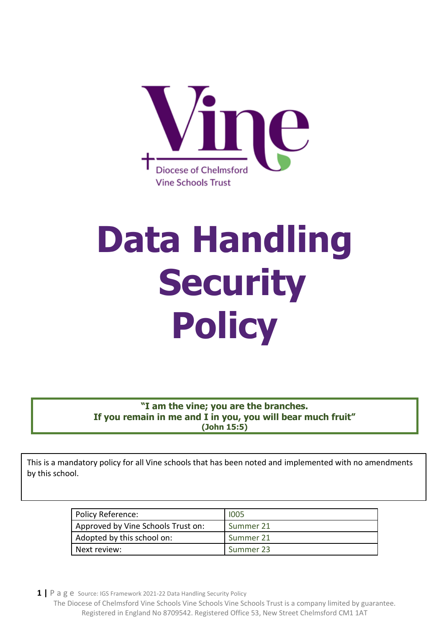

# **Data Handling Security Policy**

**"I am the vine; you are the branches. If you remain in me and I in you, you will bear much fruit" (John 15:5)**

This is a mandatory policy for all Vine schools that has been noted and implemented with no amendments by this school.

| Policy Reference:                  | 1005      |
|------------------------------------|-----------|
| Approved by Vine Schools Trust on: | Summer 21 |
| Adopted by this school on:         | Summer 21 |
| Next review:                       | Summer 23 |

**1 |** P a g e Source: IGS Framework 2021-22 Data Handling Security Policy

The Diocese of Chelmsford Vine Schools Vine Schools Vine Schools Trust is a company limited by guarantee. Registered in England No 8709542. Registered Office 53, New Street Chelmsford CM1 1AT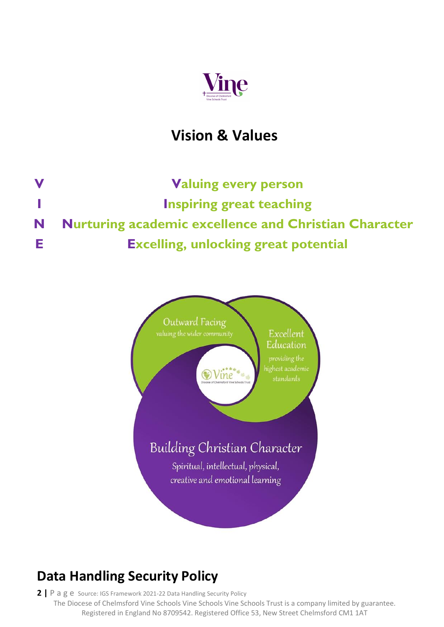

## **Vision & Values**

**V Valuing every person I Inspiring great teaching N Nurturing academic excellence and Christian Character E Excelling, unlocking great potential**



## **Data Handling Security Policy**

**2 |** P a g e Source: IGS Framework 2021-22 Data Handling Security Policy The Diocese of Chelmsford Vine Schools Vine Schools Vine Schools Trust is a company limited by guarantee. Registered in England No 8709542. Registered Office 53, New Street Chelmsford CM1 1AT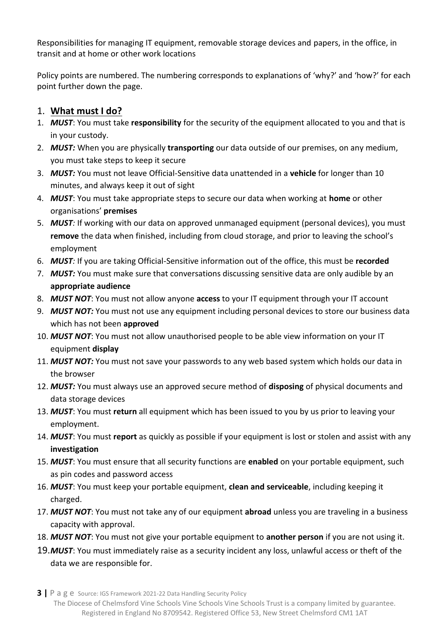Responsibilities for managing IT equipment, removable storage devices and papers, in the office, in transit and at home or other work locations

Policy points are numbered. The numbering corresponds to explanations of 'why?' and 'how?' for each point further down the page.

#### 1. **What must I do?**

- 1. *MUST*: You must take **responsibility** for the security of the equipment allocated to you and that is in your custody.
- 2. *MUST:* When you are physically **transporting** our data outside of our premises, on any medium, you must take steps to keep it secure
- 3. *MUST:* You must not leave Official-Sensitive data unattended in a **vehicle** for longer than 10 minutes, and always keep it out of sight
- 4. *MUST*: You must take appropriate steps to secure our data when working at **home** or other organisations' **premises**
- 5. *MUST:* If working with our data on approved unmanaged equipment (personal devices), you must **remove** the data when finished, including from cloud storage, and prior to leaving the school's employment
- 6. *MUST:* If you are taking Official-Sensitive information out of the office, this must be **recorded**
- 7. *MUST:* You must make sure that conversations discussing sensitive data are only audible by an **appropriate audience**
- 8. *MUST NOT*: You must not allow anyone **access** to your IT equipment through your IT account
- 9. *MUST NOT:* You must not use any equipment including personal devices to store our business data which has not been **approved**
- 10. *MUST NOT*: You must not allow unauthorised people to be able view information on your IT equipment **display**
- 11. *MUST NOT:* You must not save your passwords to any web based system which holds our data in the browser
- 12. *MUST:* You must always use an approved secure method of **disposing** of physical documents and data storage devices
- 13. *MUST*: You must **return** all equipment which has been issued to you by us prior to leaving your employment.
- 14. *MUST*: You must **report** as quickly as possible if your equipment is lost or stolen and assist with any **investigation**
- 15. *MUST*: You must ensure that all security functions are **enabled** on your portable equipment, such as pin codes and password access
- 16. *MUST*: You must keep your portable equipment, **clean and serviceable**, including keeping it charged.
- 17. *MUST NOT*: You must not take any of our equipment **abroad** unless you are traveling in a business capacity with approval.
- 18. *MUST NOT*: You must not give your portable equipment to **another person** if you are not using it.
- 19.*MUST*: You must immediately raise as a security incident any loss, unlawful access or theft of the data we are responsible for.

**3 |** P a g e Source: IGS Framework 2021-22 Data Handling Security Policy The Diocese of Chelmsford Vine Schools Vine Schools Vine Schools Trust is a company limited by guarantee. Registered in England No 8709542. Registered Office 53, New Street Chelmsford CM1 1AT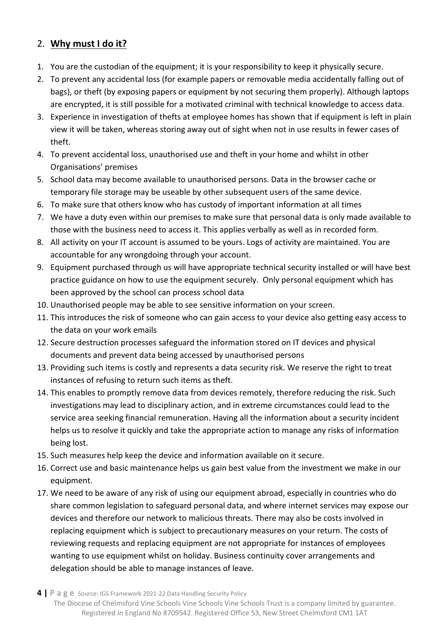#### 2. **Why must I do it?**

- 1. You are the custodian of the equipment; it is your responsibility to keep it physically secure.
- 2. To prevent any accidental loss (for example papers or removable media accidentally falling out of bags), or theft (by exposing papers or equipment by not securing them properly). Although laptops are encrypted, it is still possible for a motivated criminal with technical knowledge to access data.
- 3. Experience in investigation of thefts at employee homes has shown that if equipment is left in plain view it will be taken, whereas storing away out of sight when not in use results in fewer cases of theft.
- 4. To prevent accidental loss, unauthorised use and theft in your home and whilst in other Organisations' premises
- 5. School data may become available to unauthorised persons. Data in the browser cache or temporary file storage may be useable by other subsequent users of the same device.
- 6. To make sure that others know who has custody of important information at all times
- 7. We have a duty even within our premises to make sure that personal data is only made available to those with the business need to access it. This applies verbally as well as in recorded form.
- 8. All activity on your IT account is assumed to be yours. Logs of activity are maintained. You are accountable for any wrongdoing through your account.
- 9. Equipment purchased through us will have appropriate technical security installed or will have best practice guidance on how to use the equipment securely. Only personal equipment which has been approved by the school can process school data
- 10. Unauthorised people may be able to see sensitive information on your screen.
- 11. This introduces the risk of someone who can gain access to your device also getting easy access to the data on your work emails
- 12. Secure destruction processes safeguard the information stored on IT devices and physical documents and prevent data being accessed by unauthorised persons
- 13. Providing such items is costly and represents a data security risk. We reserve the right to treat instances of refusing to return such items as theft.
- 14. This enables to promptly remove data from devices remotely, therefore reducing the risk. Such investigations may lead to disciplinary action, and in extreme circumstances could lead to the service area seeking financial remuneration. Having all the information about a security incident helps us to resolve it quickly and take the appropriate action to manage any risks of information being lost.
- 15. Such measures help keep the device and information available on it secure.
- 16. Correct use and basic maintenance helps us gain best value from the investment we make in our equipment.
- 17. We need to be aware of any risk of using our equipment abroad, especially in countries who do share common legislation to safeguard personal data, and where internet services may expose our devices and therefore our network to malicious threats. There may also be costs involved in replacing equipment which is subject to precautionary measures on your return. The costs of reviewing requests and replacing equipment are not appropriate for instances of employees wanting to use equipment whilst on holiday. Business continuity cover arrangements and delegation should be able to manage instances of leave.

**<sup>4</sup> |** P a g e Source: IGS Framework 2021-22 Data Handling Security Policy The Diocese of Chelmsford Vine Schools Vine Schools Vine Schools Trust is a company limited by guarantee. Registered in England No 8709542. Registered Office 53, New Street Chelmsford CM1 1AT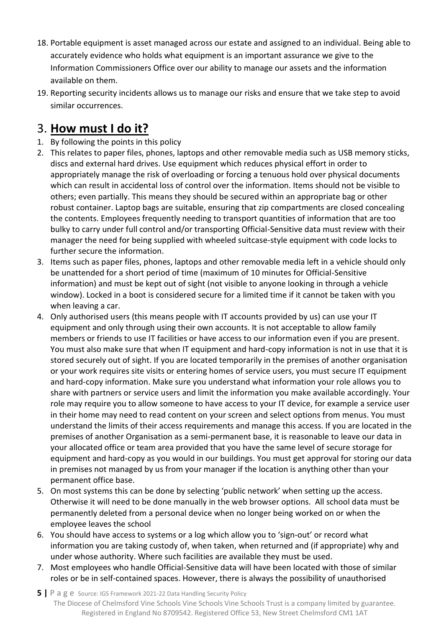- 18. Portable equipment is asset managed across our estate and assigned to an individual. Being able to accurately evidence who holds what equipment is an important assurance we give to the Information Commissioners Office over our ability to manage our assets and the information available on them.
- 19. Reporting security incidents allows us to manage our risks and ensure that we take step to avoid similar occurrences.

### 3. **How must I do it?**

- 1. By following the points in this policy
- 2. This relates to paper files, phones, laptops and other removable media such as USB memory sticks, discs and external hard drives. Use equipment which reduces physical effort in order to appropriately manage the risk of overloading or forcing a tenuous hold over physical documents which can result in accidental loss of control over the information. Items should not be visible to others; even partially. This means they should be secured within an appropriate bag or other robust container. Laptop bags are suitable, ensuring that zip compartments are closed concealing the contents. Employees frequently needing to transport quantities of information that are too bulky to carry under full control and/or transporting Official-Sensitive data must review with their manager the need for being supplied with wheeled suitcase-style equipment with code locks to further secure the information.
- 3. Items such as paper files, phones, laptops and other removable media left in a vehicle should only be unattended for a short period of time (maximum of 10 minutes for Official-Sensitive information) and must be kept out of sight (not visible to anyone looking in through a vehicle window). Locked in a boot is considered secure for a limited time if it cannot be taken with you when leaving a car.
- 4. Only authorised users (this means people with IT accounts provided by us) can use your IT equipment and only through using their own accounts. It is not acceptable to allow family members or friends to use IT facilities or have access to our information even if you are present. You must also make sure that when IT equipment and hard-copy information is not in use that it is stored securely out of sight. If you are located temporarily in the premises of another organisation or your work requires site visits or entering homes of service users, you must secure IT equipment and hard-copy information. Make sure you understand what information your role allows you to share with partners or service users and limit the information you make available accordingly. Your role may require you to allow someone to have access to your IT device, for example a service user in their home may need to read content on your screen and select options from menus. You must understand the limits of their access requirements and manage this access. If you are located in the premises of another Organisation as a semi-permanent base, it is reasonable to leave our data in your allocated office or team area provided that you have the same level of secure storage for equipment and hard-copy as you would in our buildings. You must get approval for storing our data in premises not managed by us from your manager if the location is anything other than your permanent office base.
- 5. On most systems this can be done by selecting 'public network' when setting up the access. Otherwise it will need to be done manually in the web browser options. All school data must be permanently deleted from a personal device when no longer being worked on or when the employee leaves the school
- 6. You should have access to systems or a log which allow you to 'sign-out' or record what information you are taking custody of, when taken, when returned and (if appropriate) why and under whose authority. Where such facilities are available they must be used.
- 7. Most employees who handle Official-Sensitive data will have been located with those of similar roles or be in self-contained spaces. However, there is always the possibility of unauthorised
- **5 |** P a g e Source: IGS Framework 2021-22 Data Handling Security Policy The Diocese of Chelmsford Vine Schools Vine Schools Vine Schools Trust is a company limited by guarantee. Registered in England No 8709542. Registered Office 53, New Street Chelmsford CM1 1AT